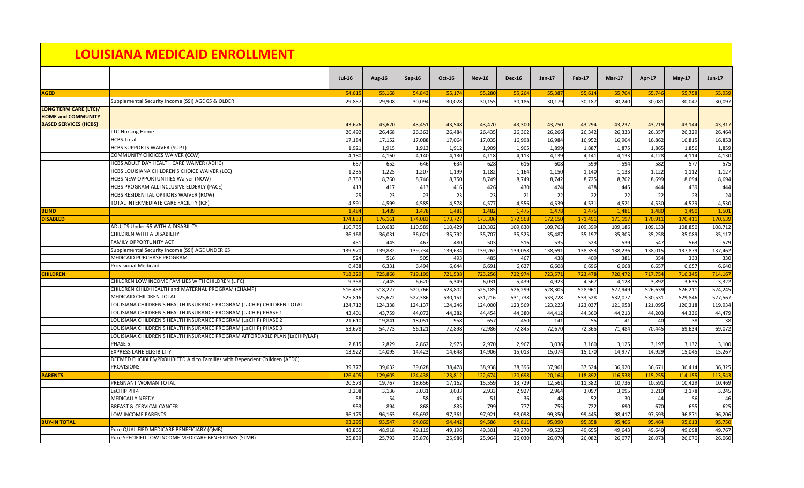## **LOUISIANA MEDICAID ENROLLMENT**

|                              |                                                                            | <b>Jul-16</b> | <b>Aug-16</b> | <b>Sep-16</b> | <b>Oct-16</b> | <b>Nov-16</b> | <b>Dec-16</b> | <b>Jan-17</b> | Feb-17  | <b>Mar-17</b> | Apr-17  | $May-17$ | <b>Jun-17</b> |
|------------------------------|----------------------------------------------------------------------------|---------------|---------------|---------------|---------------|---------------|---------------|---------------|---------|---------------|---------|----------|---------------|
| <b>AGED</b>                  |                                                                            | 54,615        | 55,168        | 54,843        | 55,174        | 55,280        | 55,264        | 55,387        | 55,614  | 55,704        | 55,746  | 55,758   | 55,959        |
|                              | Supplemental Security Income (SSI) AGE 65 & OLDER                          | 29,857        | 29,908        | 30,094        | 30,028        | 30,155        | 30,186        | 30,179        | 30,187  | 30,240        | 30,081  | 30,047   | 30,097        |
| <b>LONG TERM CARE (LTC)/</b> |                                                                            |               |               |               |               |               |               |               |         |               |         |          |               |
| <b>HOME and COMMUNITY</b>    |                                                                            |               |               |               |               |               |               |               |         |               |         |          |               |
| <b>BASED SERVICES (HCBS)</b> |                                                                            | 43,676        | 43,620        | 43,451        | 43,548        | 43,470        | 43,300        | 43,250        | 43,294  | 43,237        | 43,219  | 43,144   | 43,317        |
|                              | <b>LTC-Nursing Home</b>                                                    | 26,492        | 26,468        | 26,363        | 26,484        | 26,435        | 26,302        | 26,266        | 26,342  | 26,333        | 26,357  | 26,329   | 26,464        |
|                              | <b>HCBS Total</b>                                                          | 17,184        | 17,152        | 17,088        | 17,064        | 17,035        | 16,998        | 16,984        | 16,952  | 16,904        | 16,862  | 16,815   | 16,853        |
|                              | <b>HCBS SUPPORTS WAIVER (SUPT)</b>                                         | 1,921         | 1,915         | 1,913         | 1,912         | 1,909         | 1,905         | 1,899         | 1,887   | 1,875         | 1,865   | 1,856    | 1,859         |
|                              | COMMUNITY CHOICES WAIVER (CCW)                                             | 4,180         | 4,160         | 4,140         | 4,130         | 4,118         | 4,113         | 4,139         | 4,141   | 4,133         | 4,128   | 4,114    | 4,130         |
|                              | HCBS ADULT DAY HEALTH CARE WAIVER (ADHC)                                   | 657           | 652           | 646           | 634           | 628           | 616           | 608           | 599     | 594           | 582     | 577      | 575           |
|                              | HCBS LOUISIANA CHILDREN'S CHOICE WAIVER (LCC)                              | 1,235         | 1,225         | 1,207         | 1,199         | 1,182         | 1,164         | 1,150         | 1,140   | 1,133         | 1,122   | 1,112    | 1,127         |
|                              | <b>HCBS NEW OPPORTUNITIES Waiver (NOW)</b>                                 | 8,753         | 8,760         | 8,746         | 8,750         | 8,749         | 8,749         | 8,742         | 8,725   | 8,702         | 8,699   | 8,694    | 8,694         |
|                              | HCBS PROGRAM ALL INCLUSIVE ELDERLY (PACE)                                  | 413           | 417           | 413           | 416           | 426           | 430           | 424           | 438     | 445           | 444     | 439      | 444           |
|                              | HCBS RESIDENTIAL OPTIONS WAIVER (ROW)                                      | 25            | 23            | 23            | 23            | 23            | 21            | 22            | 22      | 22            | 22      | 23       | 24            |
|                              | TOTAL INTERMEDIATE CARE FACILITY (ICF)                                     | 4,591         | 4,599         | 4,585         | 4,578         | 4,577         | 4,556         | 4,539         | 4,531   | 4,521         | 4,530   | 4,529    | 4,530         |
| <b>BLIND</b>                 |                                                                            | 1,484         | 1,489         | 1,478         | 1,481         | 1,482         | 1,475         | 1,478         | 1,475   | 1,481         | 1,480   | 1,490    | 1,501         |
| <b>DISABLED</b>              |                                                                            | 174,833       | 176,161       | 174,083       | 173,72        | 173,30        | 172,568       | 172,15        | 171,491 | 171,197       | 170,91  | 170,411  | 170,539       |
|                              | <b>ADULTS Under 65 WITH A DISABILITY</b>                                   | 110,735       | 110,683       | 110,589       | 110,429       | 110,302       | 109,830       | 109,763       | 109,399 | 109,186       | 109,133 | 108,850  | 108,712       |
|                              | <b>CHILDREN WITH A DISABILITY</b>                                          | 36,168        | 36,031        | 36,021        | 35,792        | 35,707        | 35,525        | 35,487        | 35,197  | 35,305        | 35,258  | 35,089   | 35,117        |
|                              | <b>FAMILY OPPORTUNITY ACT</b>                                              | 451           | 445           | 467           | 480           | 503           | 516           | 535           | 523     | 539           | 547     | 563      | 579           |
|                              | Supplemental Security Income (SSI) AGE UNDER 65                            | 139,970       | 139,882       | 139,734       | 139,634       | 139,262       | 139,058       | 138,691       | 138,353 | 138,236       | 138,015 | 137,879  | 137,462       |
|                              | MEDICAID PURCHASE PROGRAM                                                  | 524           | 516           | 505           | 493           | 485           | 467           | 438           | 409     | 381           | 354     | 333      | 330           |
|                              | <b>Provisional Medicaid</b>                                                | 6,438         | 6,331         | 6,494         | 6,644         | 6,691         | 6,627         | 6,608         | 6,696   | 6,668         | 6,657   | 6,657    | 6,640         |
| <b>CHILDREN</b>              |                                                                            | 718,329       | 725,866       | 719,199       | 721,538       | 723,256       | 722,974       | 723,571       | 723,478 | 720,472       | 717,754 | 716,345  | 714,167       |
|                              | CHILDREN LOW INCOME FAMILIES WITH CHILDREN (LIFC)                          | 9,358         | 7,445         | 6,620         | 6,349         | 6,031         | 5,439         | 4,923         | 4,567   | 4,128         | 3,892   | 3,635    | 3,322         |
|                              | CHILDREN CHILD HEALTH and MATERNAL PROGRAM (CHAMP)                         | 516,458       | 518,227       | 520,766       | 523,802       | 525,185       | 526,299       | 528,305       | 528,961 | 527,949       | 526,639 | 526,211  | 524,245       |
|                              | <b>MEDICAID CHILDREN TOTAL</b>                                             | 525,816       | 525,672       | 527,386       | 530,151       | 531,216       | 531,738       | 533,228       | 533,528 | 532,077       | 530,531 | 529,846  | 527,567       |
|                              | LOUISIANA CHILDREN'S HEALTH INSURANCE PROGRAM (LaCHIP) CHILDREN TOTAL      | 124,712       | 124,338       | 124,137       | 124,246       | 124,000       | 123,569       | 123,223       | 123,037 | 121,958       | 121,095 | 120,318  | 119,934       |
|                              | LOUISIANA CHILDREN'S HEALTH INSURANCE PROGRAM (LaCHIP) PHASE 1             | 43,401        | 43,759        | 44,072        | 44,382        | 44,454        | 44,380        | 44,412        | 44,360  | 44,213        | 44,203  | 44,336   | 44,479        |
|                              | LOUISIANA CHILDREN'S HEALTH INSURANCE PROGRAM (LaCHIP) PHASE 2             | 21,610        | 19,841        | 18,051        | 958           | 657           | 450           | 141           | -55     | 41            | 40      | 38       | 38            |
|                              | LOUISIANA CHILDREN'S HEALTH INSURANCE PROGRAM (LaCHIP) PHASE 3             | 53,678        | 54,773        | 56,121        | 72,898        | 72,986        | 72,845        | 72,670        | 72,365  | 71,484        | 70,445  | 69,634   | 69,072        |
|                              | LOUISIANA CHILDREN'S HEALTH INSURANCE PROGRAM AFFORDABLE PLAN (LaCHIP/LAP) |               |               |               |               |               |               |               |         |               |         |          |               |
|                              | PHASE 5                                                                    | 2,815         | 2,829         | 2,862         | 2,975         | 2,970         | 2,967         | 3,036         | 3,160   | 3,125         | 3,197   | 3,132    | 3,100         |
|                              | <b>EXPRESS LANE ELIGIBILITY</b>                                            | 13,922        | 14,095        | 14,423        | 14,648        | 14,906        | 15,013        | 15,074        | 15,170  | 14,977        | 14,929  | 15,045   | 15,267        |
|                              | DEEMED ELIGIBLES/PROHIBITED Aid to Families with Dependent Children (AFDC) |               |               |               |               |               |               |               |         |               |         |          |               |
|                              | <b>PROVISIONS</b>                                                          | 39,777        | 39,632        | 39,628        | 38,478        | 38,938        | 38,396        | 37,961        | 37,524  | 36,920        | 36,671  | 36,414   | 36,325        |
| <b>PARENTS</b>               |                                                                            | 126,405       | 129,605       | 124,438       | 123,812       | 122,674       | 120,698       | 120,164       | 118,892 | 116,538       | 115,255 | 114,155  | 113,543       |
|                              | <b>PREGNANT WOMAN TOTAL</b>                                                | 20,573        | 19,767        | 18,656        | 17,162        | 15,559        | 13,729        | 12,561        | 11,382  | 10,736        | 10,591  | 10,429   | 10,469        |
|                              | LaCHIP PH 4                                                                | 3,208         | 3,136         | 3,031         | 3,033         | 2,933         | 2,927         | 2,964         | 3,097   | 3,095         | 3,210   | 3,178    | 3,245         |
|                              | <b>MEDICALLY NEEDY</b>                                                     | 58            | 54            | 58            | 45I           | 51            | 36            | 48            | 52      | 30            | 44      | 56       | 46            |
|                              | <b>BREAST &amp; CERVICAL CANCER</b>                                        | 953           | 894           | 868           | 835           | 799           | 777           | 755           | 722     | 690           | 670     | 655      | 625           |
|                              | LOW-INCOME PARENTS                                                         | 96,175        | 96,163        | 96,692        | 97,361        | 97,921        | 98,098        | 99,350        | 99,445  | 98,417        | 97,593  | 96,871   | 96,206        |
| <b>BUY-IN TOTAL</b>          |                                                                            | 93,295        | 93,547        | 94,069        | 94,442        | 94,586        | 94,811        | 95,090        | 95,358  | 95,406        | 95,464  | 95,613   | 95,750        |
|                              | Pure QUALIFIED MEDICARE BENEFICIARY (QMB)                                  | 48,865        | 48,918        | 49,119        | 49,196        | 49,301        | 49,370        | 49,523        | 49,655  | 49,643        | 49,640  | 49,698   | 49,767        |
|                              | Pure SPECIFIED LOW INCOME MEDICARE BENEFICIARY (SLMB)                      | 25,839        | 25,793        | 25,876        | 25,986        | 25,964        | 26,030        | 26,070        | 26,082  | 26,077        | 26,073  | 26,070   | 26,060        |